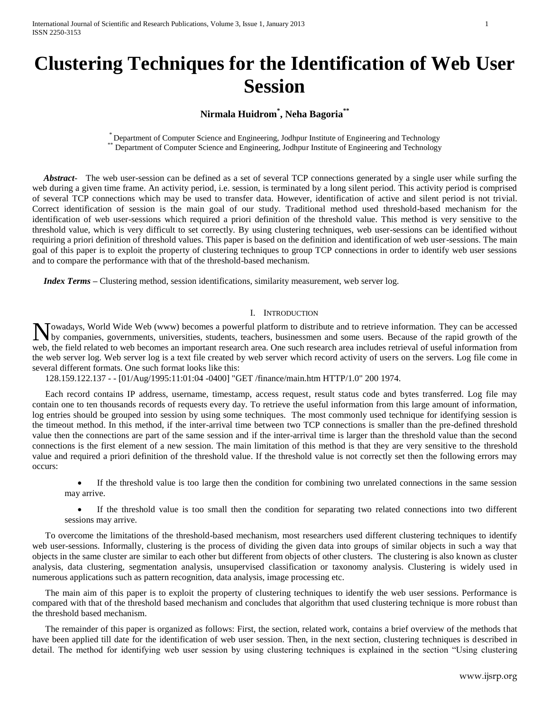# **Clustering Techniques for the Identification of Web User Session**

**Nirmala Huidrom\* , Neha Bagoria\*\***

\* Department of Computer Science and Engineering, Jodhpur Institute of Engineering and Technology Department of Computer Science and Engineering, Jodhpur Institute of Engineering and Technology

 *Abstract*- The web user-session can be defined as a set of several TCP connections generated by a single user while surfing the web during a given time frame. An activity period, i.e. session, is terminated by a long silent period. This activity period is comprised of several TCP connections which may be used to transfer data. However, identification of active and silent period is not trivial. Correct identification of session is the main goal of our study. Traditional method used threshold-based mechanism for the identification of web user-sessions which required a priori definition of the threshold value. This method is very sensitive to the threshold value, which is very difficult to set correctly. By using clustering techniques, web user-sessions can be identified without requiring a priori definition of threshold values. This paper is based on the definition and identification of web user-sessions. The main goal of this paper is to exploit the property of clustering techniques to group TCP connections in order to identify web user sessions and to compare the performance with that of the threshold-based mechanism.

*Index Terms* – Clustering method, session identifications, similarity measurement, web server log.

# I. INTRODUCTION

owadays, World Wide Web (www) becomes a powerful platform to distribute and to retrieve information. They can be accessed Nowadays, World Wide Web (www) becomes a powerful platform to distribute and to retrieve information. They can be accessed by companies, governments, universities, students, teachers, businessmen and some users. Because of web, the field related to web becomes an important research area. One such research area includes retrieval of useful information from the web server log. Web server log is a text file created by web server which record activity of users on the servers. Log file come in several different formats. One such format looks like this:

128.159.122.137 - - [01/Aug/1995:11:01:04 -0400] "GET /finance/main.htm HTTP/1.0" 200 1974.

Each record contains IP address, username, timestamp, access request, result status code and bytes transferred. Log file may contain one to ten thousands records of requests every day. To retrieve the useful information from this large amount of information, log entries should be grouped into session by using some techniques. The most commonly used technique for identifying session is the timeout method. In this method, if the inter-arrival time between two TCP connections is smaller than the pre-defined threshold value then the connections are part of the same session and if the inter-arrival time is larger than the threshold value than the second connections is the first element of a new session. The main limitation of this method is that they are very sensitive to the threshold value and required a priori definition of the threshold value. If the threshold value is not correctly set then the following errors may occurs:

 If the threshold value is too large then the condition for combining two unrelated connections in the same session may arrive.

 If the threshold value is too small then the condition for separating two related connections into two different sessions may arrive.

To overcome the limitations of the threshold-based mechanism, most researchers used different clustering techniques to identify web user-sessions. Informally, clustering is the process of dividing the given data into groups of similar objects in such a way that objects in the same cluster are similar to each other but different from objects of other clusters. The clustering is also known as cluster analysis, data clustering, segmentation analysis, unsupervised classification or taxonomy analysis. Clustering is widely used in numerous applications such as pattern recognition, data analysis, image processing etc.

The main aim of this paper is to exploit the property of clustering techniques to identify the web user sessions. Performance is compared with that of the threshold based mechanism and concludes that algorithm that used clustering technique is more robust than the threshold based mechanism.

The remainder of this paper is organized as follows: First, the section, related work, contains a brief overview of the methods that have been applied till date for the identification of web user session. Then, in the next section, clustering techniques is described in detail. The method for identifying web user session by using clustering techniques is explained in the section "Using clustering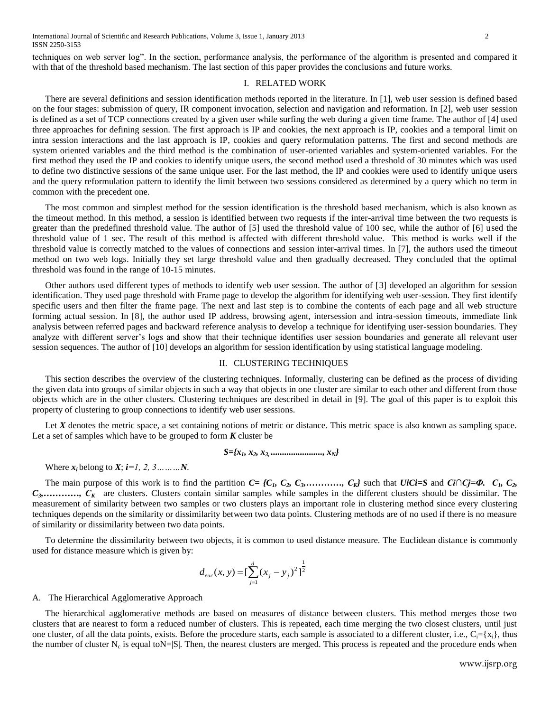techniques on web server log". In the section, performance analysis, the performance of the algorithm is presented and compared it with that of the threshold based mechanism. The last section of this paper provides the conclusions and future works.

# I. RELATED WORK

There are several definitions and session identification methods reported in the literature. In [1], web user session is defined based on the four stages: submission of query, IR component invocation, selection and navigation and reformation. In [2], web user session is defined as a set of TCP connections created by a given user while surfing the web during a given time frame. The author of [4] used three approaches for defining session. The first approach is IP and cookies, the next approach is IP, cookies and a temporal limit on intra session interactions and the last approach is IP, cookies and query reformulation patterns. The first and second methods are system oriented variables and the third method is the combination of user-oriented variables and system-oriented variables. For the first method they used the IP and cookies to identify unique users, the second method used a threshold of 30 minutes which was used to define two distinctive sessions of the same unique user. For the last method, the IP and cookies were used to identify unique users and the query reformulation pattern to identify the limit between two sessions considered as determined by a query which no term in common with the precedent one.

The most common and simplest method for the session identification is the threshold based mechanism, which is also known as the timeout method. In this method, a session is identified between two requests if the inter-arrival time between the two requests is greater than the predefined threshold value. The author of [5] used the threshold value of 100 sec, while the author of [6] used the threshold value of 1 sec. The result of this method is affected with different threshold value. This method is works well if the threshold value is correctly matched to the values of connections and session inter-arrival times. In [7], the authors used the timeout method on two web logs. Initially they set large threshold value and then gradually decreased. They concluded that the optimal threshold was found in the range of 10-15 minutes.

Other authors used different types of methods to identify web user session. The author of [3] developed an algorithm for session identification. They used page threshold with Frame page to develop the algorithm for identifying web user-session. They first identify specific users and then filter the frame page. The next and last step is to combine the contents of each page and all web structure forming actual session. In [8], the author used IP address, browsing agent, intersession and intra-session timeouts, immediate link analysis between referred pages and backward reference analysis to develop a technique for identifying user-session boundaries. They analyze with different server's logs and show that their technique identifies user session boundaries and generate all relevant user session sequences. The author of [10] develops an algorithm for session identification by using statistical language modeling.

#### II. CLUSTERING TECHNIQUES

This section describes the overview of the clustering techniques. Informally, clustering can be defined as the process of dividing the given data into groups of similar objects in such a way that objects in one cluster are similar to each other and different from those objects which are in the other clusters. Clustering techniques are described in detail in [9]. The goal of this paper is to exploit this property of clustering to group connections to identify web user sessions.

Let *X* denotes the metric space, a set containing notions of metric or distance. This metric space is also known as sampling space. Let a set of samples which have to be grouped to form  $K$  cluster be

$$
S = \{x_1, x_2, x_3, \dots, \dots, \dots, x_N\}
$$

Where  $x_i$  belong to  $X$ ;  $i=1, 2, 3, \ldots, N$ .

The main purpose of this work is to find the partition  $C = \{C_1, C_2, C_3, \ldots, C_K\}$  such that  $UiCi=S$  and  $Ci\cap Cj=\Phi$ .  $C_1, C_2, C_3, \ldots, C_K\}$ *C*<sub>3</sub>,…………, *C*<sub>K</sub> are clusters. Clusters contain similar samples while samples in the different clusters should be dissimilar. The measurement of similarity between two samples or two clusters plays an important role in clustering method since every clustering techniques depends on the similarity or dissimilarity between two data points. Clustering methods are of no used if there is no measure of similarity or dissimilarity between two data points.

To determine the dissimilarity between two objects, it is common to used distance measure. The Euclidean distance is commonly used for distance measure which is given by:

$$
d_{euc}(x, y) = \left[\sum_{j=1}^{d} (x_j - y_j)^2\right]^{\frac{1}{2}}
$$

#### A. The Hierarchical Agglomerative Approach

The hierarchical agglomerative methods are based on measures of distance between clusters. This method merges those two clusters that are nearest to form a reduced number of clusters. This is repeated, each time merging the two closest clusters, until just one cluster, of all the data points, exists. Before the procedure starts, each sample is associated to a different cluster, i.e.,  $C_i = \{x_i\}$ , thus the number of cluster  $N_c$  is equal to  $N = |S|$ . Then, the nearest clusters are merged. This process is repeated and the procedure ends when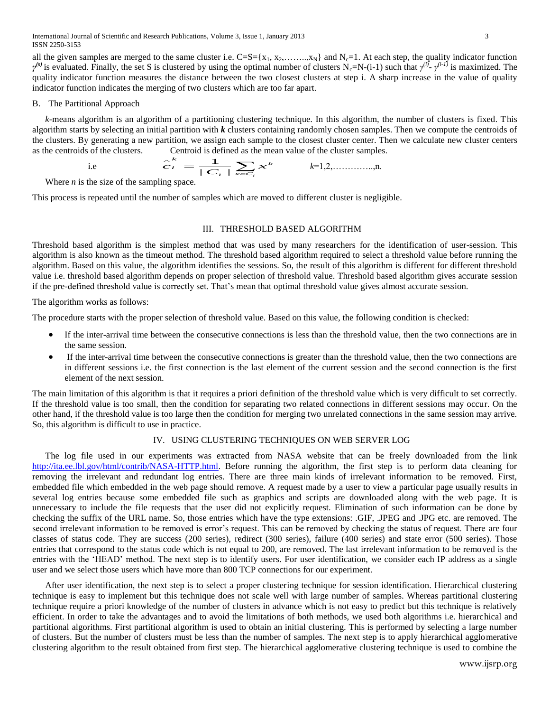International Journal of Scientific and Research Publications, Volume 3, Issue 1, January 2013 3 ISSN 2250-3153

all the given samples are merged to the same cluster i.e.  $C=S=\{x_1, x_2, \ldots, x_N\}$  and  $N_c=1$ . At each step, the quality indicator function *γ*<sup>(s)</sup> is evaluated. Finally, the set S is clustered by using the optimal number of clusters N<sub>c</sub>=N-(i-1) such that *γ*<sup>(i)</sup>- *γ*<sup>(i-1)</sup> is maximized. The quality indicator function measures the distance between the two closest clusters at step i. A sharp increase in the value of quality indicator function indicates the merging of two clusters which are too far apart.

#### B. The Partitional Approach

*k*-means algorithm is an algorithm of a partitioning clustering technique. In this algorithm, the number of clusters is fixed. This algorithm starts by selecting an initial partition with *k* clusters containing randomly chosen samples. Then we compute the centroids of the clusters. By generating a new partition, we assign each sample to the closest cluster center. Then we calculate new cluster centers

as the centroids of the clusters.   
Let 
$$
\hat{c}_i = \frac{1}{|\mathbf{C}_i|} \sum_{x \in \mathbf{C}_i} x^k
$$
 then  $k=1,2,\dots,\dots,n$ .

Where *n* is the size of the sampling space.

This process is repeated until the number of samples which are moved to different cluster is negligible.

### III. THRESHOLD BASED ALGORITHM

Threshold based algorithm is the simplest method that was used by many researchers for the identification of user-session. This algorithm is also known as the timeout method. The threshold based algorithm required to select a threshold value before running the algorithm. Based on this value, the algorithm identifies the sessions. So, the result of this algorithm is different for different threshold value i.e. threshold based algorithm depends on proper selection of threshold value. Threshold based algorithm gives accurate session if the pre-defined threshold value is correctly set. That's mean that optimal threshold value gives almost accurate session.

The algorithm works as follows:

The procedure starts with the proper selection of threshold value. Based on this value, the following condition is checked:

- If the inter-arrival time between the consecutive connections is less than the threshold value, then the two connections are in the same session.
- If the inter-arrival time between the consecutive connections is greater than the threshold value, then the two connections are in different sessions i.e. the first connection is the last element of the current session and the second connection is the first element of the next session.

The main limitation of this algorithm is that it requires a priori definition of the threshold value which is very difficult to set correctly. If the threshold value is too small, then the condition for separating two related connections in different sessions may occur. On the other hand, if the threshold value is too large then the condition for merging two unrelated connections in the same session may arrive. So, this algorithm is difficult to use in practice.

# IV. USING CLUSTERING TECHNIQUES ON WEB SERVER LOG

The log file used in our experiments was extracted from NASA website that can be freely downloaded from the link [http://ita.ee.lbl.gov/html/contrib/NASA-HTTP.html.](http://ita.ee.lbl.gov/html/contrib/NASA-HTTP.html) Before running the algorithm, the first step is to perform data cleaning for removing the irrelevant and redundant log entries. There are three main kinds of irrelevant information to be removed. First, embedded file which embedded in the web page should remove. A request made by a user to view a particular page usually results in several log entries because some embedded file such as graphics and scripts are downloaded along with the web page. It is unnecessary to include the file requests that the user did not explicitly request. Elimination of such information can be done by checking the suffix of the URL name. So, those entries which have the type extensions: .GIF, .JPEG and .JPG etc. are removed. The second irrelevant information to be removed is error's request. This can be removed by checking the status of request. There are four classes of status code. They are success (200 series), redirect (300 series), failure (400 series) and state error (500 series). Those entries that correspond to the status code which is not equal to 200, are removed. The last irrelevant information to be removed is the entries with the 'HEAD' method. The next step is to identify users. For user identification, we consider each IP address as a single user and we select those users which have more than 800 TCP connections for our experiment.

After user identification, the next step is to select a proper clustering technique for session identification. Hierarchical clustering technique is easy to implement but this technique does not scale well with large number of samples. Whereas partitional clustering technique require a priori knowledge of the number of clusters in advance which is not easy to predict but this technique is relatively efficient. In order to take the advantages and to avoid the limitations of both methods, we used both algorithms i.e. hierarchical and partitional algorithms. First partitional algorithm is used to obtain an initial clustering. This is performed by selecting a large number of clusters. But the number of clusters must be less than the number of samples. The next step is to apply hierarchical agglomerative clustering algorithm to the result obtained from first step. The hierarchical agglomerative clustering technique is used to combine the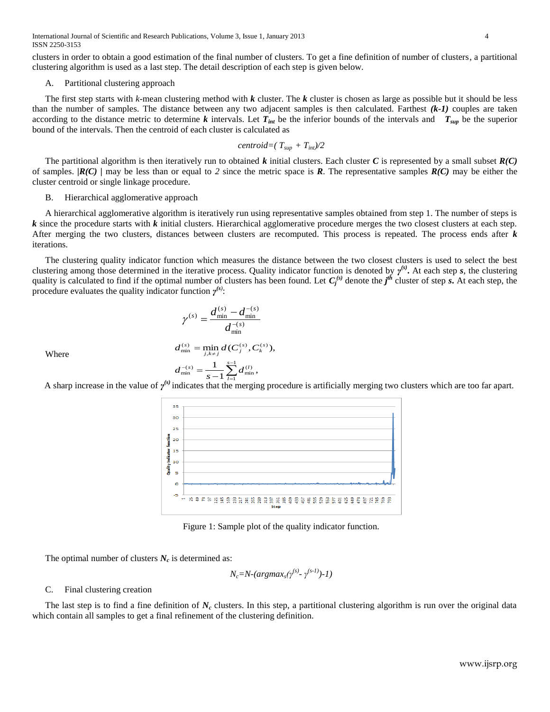International Journal of Scientific and Research Publications, Volume 3, Issue 1, January 2013 4 ISSN 2250-3153

clusters in order to obtain a good estimation of the final number of clusters. To get a fine definition of number of clusters, a partitional clustering algorithm is used as a last step. The detail description of each step is given below.

# A. Partitional clustering approach

The first step starts with *k*-mean clustering method with *k* cluster. The *k* cluster is chosen as large as possible but it should be less than the number of samples. The distance between any two adjacent samples is then calculated. Farthest *(k-1)* couples are taken according to the distance metric to determine *k* intervals. Let  $T_{int}$  be the inferior bounds of the intervals and  $T_{sup}$  be the superior bound of the intervals. Then the centroid of each cluster is calculated as

$$
centroid = (T_{\text{sup}} + T_{\text{int}})/2
$$

The partitional algorithm is then iteratively run to obtained *k* initial clusters. Each cluster *C* is represented by a small subset *R(C)* of samples. *|R(C) |* may be less than or equal to *2* since the metric space is *R*. The representative samples *R(C)* may be either the cluster centroid or single linkage procedure.

#### B. Hierarchical agglomerative approach

A hierarchical agglomerative algorithm is iteratively run using representative samples obtained from step 1. The number of steps is *k* since the procedure starts with *k* initial clusters. Hierarchical agglomerative procedure merges the two closest clusters at each step. After merging the two clusters, distances between clusters are recomputed. This process is repeated. The process ends after *k* iterations.

The clustering quality indicator function which measures the distance between the two closest clusters is used to select the best clustering among those determined in the iterative process. Quality indicator function is denoted by *γ (s)* **.** At each step *s*, the clustering quality is calculated to find if the optimal number of clusters has been found. Let  $C_j^{(s)}$  denote the  $j^{\text{th}}$  cluster of step *s***.** At each step, the procedure evaluates the quality indicator function  $\gamma^{(s)}$ :

$$
\gamma^{(s)} = \frac{d_{\min}^{(s)} - d_{\min}^{-(s)}}{d_{\min}^{-(s)}}
$$

min *d*  $\min_d d(C_i^{(s)}, C_k^{(s)}),$  $d_{\min}^{(s)} = \min_i d(C_i^{(s)}, C_i)$ 

Where

$$
d_{\min}^{(s)} = \min_{j,k \neq j} d(C_j^{(s)}, C_k^{(s)}
$$

$$
d_{\min}^{-(s)} = \frac{1}{s-1} \sum_{l=1}^{s-1} d_{\min}^{(l)},
$$

*d*

A sharp increase in the value of  $\gamma^{(s)}$  indicates that the merging procedure is artificially merging two clusters which are too far apart.



Figure 1: Sample plot of the quality indicator function.

The optimal number of clusters  $N_c$  is determined as:

$$
N_c = N-(argmax_s(\gamma^{(s)} \cdot \gamma^{(s-1)})-1)
$$

#### C. Final clustering creation

The last step is to find a fine definition of  $N_c$  clusters. In this step, a partitional clustering algorithm is run over the original data which contain all samples to get a final refinement of the clustering definition.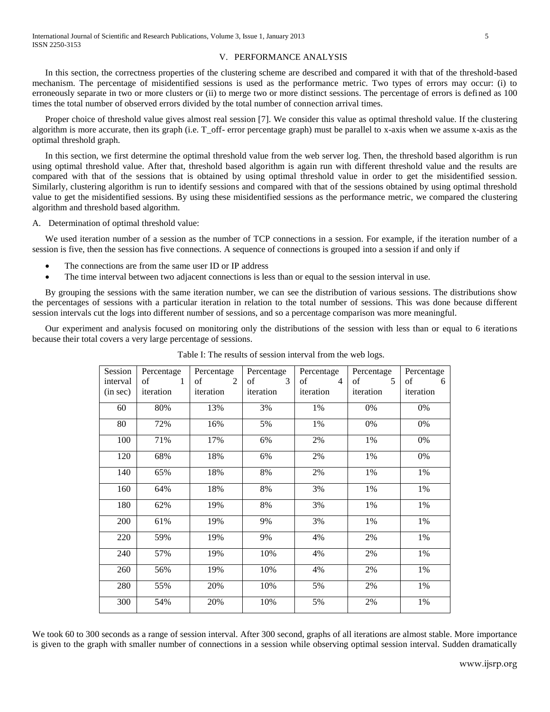### V. PERFORMANCE ANALYSIS

In this section, the correctness properties of the clustering scheme are described and compared it with that of the threshold-based mechanism. The percentage of misidentified sessions is used as the performance metric. Two types of errors may occur: (i) to erroneously separate in two or more clusters or (ii) to merge two or more distinct sessions. The percentage of errors is defined as 100 times the total number of observed errors divided by the total number of connection arrival times.

Proper choice of threshold value gives almost real session [7]. We consider this value as optimal threshold value. If the clustering algorithm is more accurate, then its graph (i.e. T\_off- error percentage graph) must be parallel to x-axis when we assume x-axis as the optimal threshold graph.

In this section, we first determine the optimal threshold value from the web server log. Then, the threshold based algorithm is run using optimal threshold value. After that, threshold based algorithm is again run with different threshold value and the results are compared with that of the sessions that is obtained by using optimal threshold value in order to get the misidentified session. Similarly, clustering algorithm is run to identify sessions and compared with that of the sessions obtained by using optimal threshold value to get the misidentified sessions. By using these misidentified sessions as the performance metric, we compared the clustering algorithm and threshold based algorithm.

A. Determination of optimal threshold value:

We used iteration number of a session as the number of TCP connections in a session. For example, if the iteration number of a session is five, then the session has five connections. A sequence of connections is grouped into a session if and only if

- The connections are from the same user ID or IP address
- The time interval between two adjacent connections is less than or equal to the session interval in use.

By grouping the sessions with the same iteration number, we can see the distribution of various sessions. The distributions show the percentages of sessions with a particular iteration in relation to the total number of sessions. This was done because different session intervals cut the logs into different number of sessions, and so a percentage comparison was more meaningful.

Our experiment and analysis focused on monitoring only the distributions of the session with less than or equal to 6 iterations because their total covers a very large percentage of sessions.

| Session  | Percentage | Percentage                   | Percentage                   | Percentage                    | Percentage        | Percentage |
|----------|------------|------------------------------|------------------------------|-------------------------------|-------------------|------------|
| interval | of $1$     | $\sigma$ of<br>$\mathcal{L}$ | $\sigma$ of<br>$\mathcal{R}$ | $\sigma$ of<br>$\overline{4}$ | $\sigma$ of<br>.5 | of<br>-6   |
| (in sec) | iteration  | iteration                    | iteration                    | iteration                     | iteration         | iteration  |
| 60       | 80%        | 13%                          | 3%                           | 1%                            | 0%                | $0\%$      |
| 80       | 72%        | 16%                          | 5%                           | 1%                            | 0%                | 0%         |
| 100      | 71%        | 17%                          | 6%                           | 2%                            | 1%                | 0%         |
| 120      | 68%        | 18%                          | 6%                           | 2%                            | 1%                | 0%         |
| 140      | 65%        | 18%                          | 8%                           | 2%                            | 1%                | 1%         |
| 160      | 64%        | 18%                          | 8%                           | 3%                            | 1%                | 1%         |
| 180      | 62%        | 19%                          | 8%                           | 3%                            | 1%                | 1%         |
| 200      | 61%        | 19%                          | 9%                           | 3%                            | 1%                | 1%         |
| 220      | 59%        | 19%                          | 9%                           | 4%                            | 2%                | 1%         |
| 240      | 57%        | 19%                          | 10%                          | 4%                            | 2%                | 1%         |
| 260      | 56%        | 19%                          | 10%                          | 4%                            | 2%                | 1%         |
| 280      | 55%        | 20%                          | 10%                          | 5%                            | 2%                | 1%         |
| 300      | 54%        | 20%                          | 10%                          | 5%                            | 2%                | 1%         |

Table I: The results of session interval from the web logs.

We took 60 to 300 seconds as a range of session interval. After 300 second, graphs of all iterations are almost stable. More importance is given to the graph with smaller number of connections in a session while observing optimal session interval. Sudden dramatically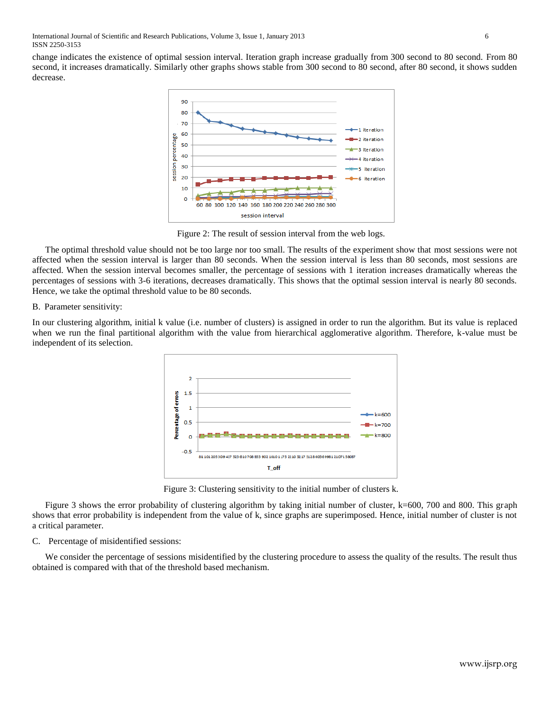International Journal of Scientific and Research Publications, Volume 3, Issue 1, January 2013 6 ISSN 2250-3153

change indicates the existence of optimal session interval. Iteration graph increase gradually from 300 second to 80 second. From 80 second, it increases dramatically. Similarly other graphs shows stable from 300 second to 80 second, after 80 second, it shows sudden decrease.



Figure 2: The result of session interval from the web logs.

The optimal threshold value should not be too large nor too small. The results of the experiment show that most sessions were not affected when the session interval is larger than 80 seconds. When the session interval is less than 80 seconds, most sessions are affected. When the session interval becomes smaller, the percentage of sessions with 1 iteration increases dramatically whereas the percentages of sessions with 3-6 iterations, decreases dramatically. This shows that the optimal session interval is nearly 80 seconds. Hence, we take the optimal threshold value to be 80 seconds.

#### B. Parameter sensitivity:

In our clustering algorithm, initial k value (i.e. number of clusters) is assigned in order to run the algorithm. But its value is replaced when we run the final partitional algorithm with the value from hierarchical agglomerative algorithm. Therefore, k-value must be independent of its selection.



Figure 3: Clustering sensitivity to the initial number of clusters k.

Figure 3 shows the error probability of clustering algorithm by taking initial number of cluster, k=600, 700 and 800. This graph shows that error probability is independent from the value of k, since graphs are superimposed. Hence, initial number of cluster is not a critical parameter.

# C. Percentage of misidentified sessions:

We consider the percentage of sessions misidentified by the clustering procedure to assess the quality of the results. The result thus obtained is compared with that of the threshold based mechanism.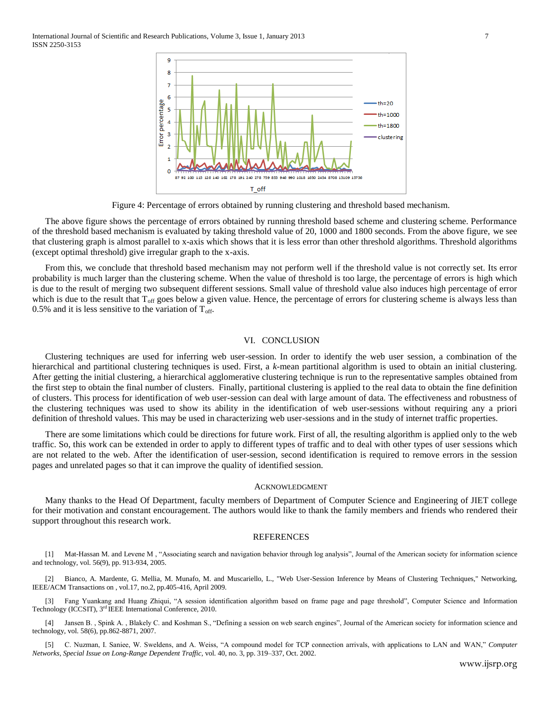International Journal of Scientific and Research Publications, Volume 3, Issue 1, January 2013 7 ISSN 2250-3153



Figure 4: Percentage of errors obtained by running clustering and threshold based mechanism.

The above figure shows the percentage of errors obtained by running threshold based scheme and clustering scheme. Performance of the threshold based mechanism is evaluated by taking threshold value of 20, 1000 and 1800 seconds. From the above figure, we see that clustering graph is almost parallel to x-axis which shows that it is less error than other threshold algorithms. Threshold algorithms (except optimal threshold) give irregular graph to the x-axis.

From this, we conclude that threshold based mechanism may not perform well if the threshold value is not correctly set. Its error probability is much larger than the clustering scheme. When the value of threshold is too large, the percentage of errors is high which is due to the result of merging two subsequent different sessions. Small value of threshold value also induces high percentage of error which is due to the result that  $T_{off}$  goes below a given value. Hence, the percentage of errors for clustering scheme is always less than 0.5% and it is less sensitive to the variation of  $T_{\text{off}}$ .

## VI. CONCLUSION

Clustering techniques are used for inferring web user-session. In order to identify the web user session, a combination of the hierarchical and partitional clustering techniques is used. First, a *k*-mean partitional algorithm is used to obtain an initial clustering. After getting the initial clustering, a hierarchical agglomerative clustering technique is run to the representative samples obtained from the first step to obtain the final number of clusters. Finally, partitional clustering is applied to the real data to obtain the fine definition of clusters. This process for identification of web user-session can deal with large amount of data. The effectiveness and robustness of the clustering techniques was used to show its ability in the identification of web user-sessions without requiring any a priori definition of threshold values. This may be used in characterizing web user-sessions and in the study of internet traffic properties.

There are some limitations which could be directions for future work. First of all, the resulting algorithm is applied only to the web traffic. So, this work can be extended in order to apply to different types of traffic and to deal with other types of user sessions which are not related to the web. After the identification of user-session, second identification is required to remove errors in the session pages and unrelated pages so that it can improve the quality of identified session.

#### ACKNOWLEDGMENT

Many thanks to the Head Of Department, faculty members of Department of Computer Science and Engineering of JIET college for their motivation and constant encouragement. The authors would like to thank the family members and friends who rendered their support throughout this research work.

#### **REFERENCES**

[1] Mat-Hassan M. and Levene M , "Associating search and navigation behavior through log analysis", Journal of the American society for information science and technology, vol. 56(9), pp. 913-934, 2005.

[2] Bianco, A. Mardente, G. Mellia, M. Munafo, M. and Muscariello, L., "Web User-Session Inference by Means of Clustering Techniques," Networking, IEEE/ACM Transactions on , vol.17, no.2, pp.405-416, April 2009.

[3] Fang Yuankang and Huang Zhiqui, "A session identification algorithm based on frame page and page threshold", Computer Science and Information Technology (ICCSIT), 3<sup>rd</sup> IEEE International Conference, 2010.

[4] Jansen B. , Spink A. , Blakely C. and Koshman S., "Defining a session on web search engines", Journal of the American society for information science and technology, vol. 58(6), pp.862-8871, 2007.

[5] C. Nuzman, I. Saniee, W. Sweldens, and A. Weiss, "A compound model for TCP connection arrivals, with applications to LAN and WAN," *Computer Networks, Special Issue on Long-Range Dependent Traffic*, vol. 40, no. 3, pp. 319–337, Oct. 2002.